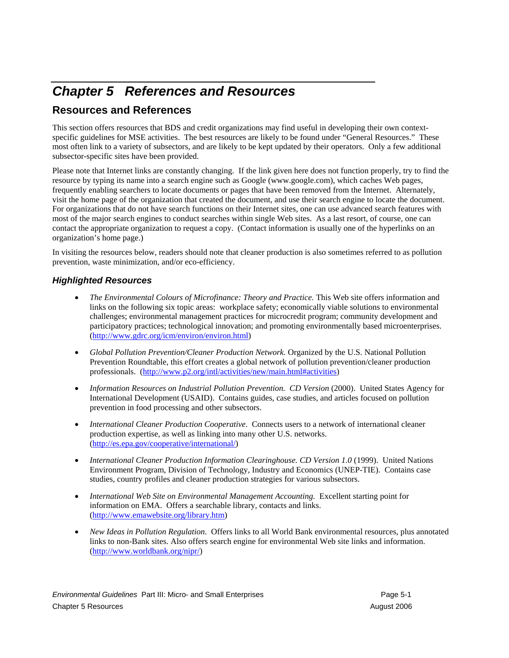## *Chapter 5 References and Resources*

## **Resources and References**

This section offers resources that BDS and credit organizations may find useful in developing their own contextspecific guidelines for MSE activities. The best resources are likely to be found under "General Resources." These most often link to a variety of subsectors, and are likely to be kept updated by their operators. Only a few additional subsector-specific sites have been provided.

Please note that Internet links are constantly changing. If the link given here does not function properly, try to find the resource by typing its name into a search engine such as Google (www.google.com), which caches Web pages, frequently enabling searchers to locate documents or pages that have been removed from the Internet. Alternately, visit the home page of the organization that created the document, and use their search engine to locate the document. For organizations that do not have search functions on their Internet sites, one can use advanced search features with most of the major search engines to conduct searches within single Web sites. As a last resort, of course, one can contact the appropriate organization to request a copy. (Contact information is usually one of the hyperlinks on an organization's home page.)

In visiting the resources below, readers should note that cleaner production is also sometimes referred to as pollution prevention, waste minimization, and/or eco-efficiency.

## *Highlighted Resources*

- *The Environmental Colours of Microfinance: Theory and Practice.* This Web site offers information and links on the following six topic areas: workplace safety; economically viable solutions to environmental challenges; environmental management practices for microcredit program; community development and participatory practices; technological innovation; and promoting environmentally based microenterprises. (http://www.gdrc.org/icm/environ/environ.html)
- *Global Pollution Prevention/Cleaner Production Network.* Organized by the U.S. National Pollution Prevention Roundtable, this effort creates a global network of pollution prevention/cleaner production professionals. (http://www.p2.org/intl/activities/new/main.html#activities)
- *Information Resources on Industrial Pollution Prevention. CD Version (2000). United States Agency for* International Development (USAID). Contains guides, case studies, and articles focused on pollution prevention in food processing and other subsectors.
- *International Cleaner Production Cooperative*. Connects users to a network of international cleaner production expertise, as well as linking into many other U.S. networks. (http://es.epa.gov/cooperative/international/)
- *International Cleaner Production Information Clearinghouse. CD Version 1.0* (1999). United Nations Environment Program, Division of Technology, Industry and Economics (UNEP-TIE). Contains case studies, country profiles and cleaner production strategies for various subsectors.
- *International Web Site on Environmental Management Accounting.* Excellent starting point for information on EMA. Offers a searchable library, contacts and links. (http://www.emawebsite.org/library.htm)
- *New Ideas in Pollution Regulation*. Offers links to all World Bank environmental resources, plus annotated links to non-Bank sites. Also offers search engine for environmental Web site links and information. (http://www.worldbank.org/nipr/)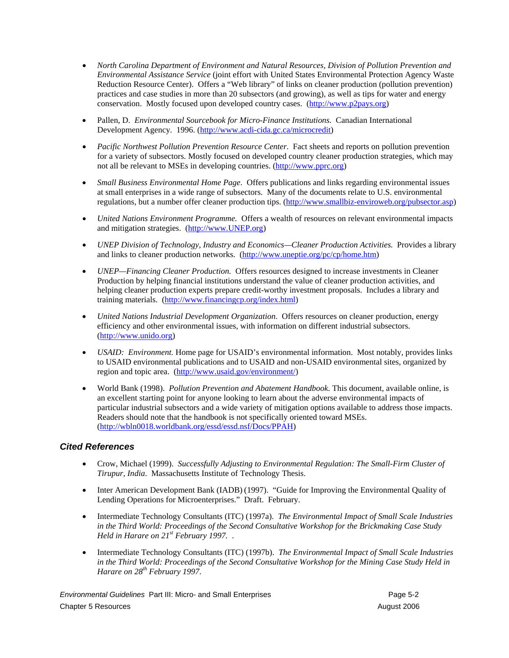- *North Carolina Department of Environment and Natural Resources, Division of Pollution Prevention and Environmental Assistance Service* (joint effort with United States Environmental Protection Agency Waste Reduction Resource Center). Offers a "Web library" of links on cleaner production (pollution prevention) practices and case studies in more than 20 subsectors (and growing), as well as tips for water and energy conservation. Mostly focused upon developed country cases. (http://www.p2pays.org)
- Pallen, D. *Environmental Sourcebook for Micro-Finance Institutions.* Canadian International Development Agency. 1996. (http://www.acdi-cida.gc.ca/microcredit)
- *Pacific Northwest Pollution Prevention Resource Center.* Fact sheets and reports on pollution prevention for a variety of subsectors. Mostly focused on developed country cleaner production strategies, which may not all be relevant to MSEs in developing countries. (http://www.pprc.org)
- *Small Business Environmental Home Page*. Offers publications and links regarding environmental issues at small enterprises in a wide range of subsectors. Many of the documents relate to U.S. environmental regulations, but a number offer cleaner production tips. (http://www.smallbiz-enviroweb.org/pubsector.asp)
- *United Nations Environment Programme.* Offers a wealth of resources on relevant environmental impacts and mitigation strategies. (http://www.UNEP.org)
- *UNEP Division of Technology, Industry and Economics—Cleaner Production Activities.* Provides a library and links to cleaner production networks. (http://www.uneptie.org/pc/cp/home.htm)
- *UNEP—Financing Cleaner Production.* Offers resources designed to increase investments in Cleaner Production by helping financial institutions understand the value of cleaner production activities, and helping cleaner production experts prepare credit-worthy investment proposals. Includes a library and training materials. (http://www.financingcp.org/index.html)
- *United Nations Industrial Development Organization*. Offers resources on cleaner production, energy efficiency and other environmental issues, with information on different industrial subsectors. (http://www.unido.org)
- *USAID: Environment.* Home page for USAID's environmental information. Most notably, provides links to USAID environmental publications and to USAID and non-USAID environmental sites, organized by region and topic area. (http://www.usaid.gov/environment/)
- World Bank (1998). *Pollution Prevention and Abatement Handbook*. This document, available online, is an excellent starting point for anyone looking to learn about the adverse environmental impacts of particular industrial subsectors and a wide variety of mitigation options available to address those impacts. Readers should note that the handbook is not specifically oriented toward MSEs. (http://wbln0018.worldbank.org/essd/essd.nsf/Docs/PPAH)

## *Cited References*

- Crow, Michael (1999). *Successfully Adjusting to Environmental Regulation: The Small-Firm Cluster of Tirupur, India*. Massachusetts Institute of Technology Thesis.
- Inter American Development Bank (IADB) (1997). "Guide for Improving the Environmental Quality of Lending Operations for Microenterprises." Draft. February.
- Intermediate Technology Consultants (ITC) (1997a). *The Environmental Impact of Small Scale Industries in the Third World: Proceedings of the Second Consultative Workshop for the Brickmaking Case Study Held in Harare on 21st February 1997.* .
- Intermediate Technology Consultants (ITC) (1997b). *The Environmental Impact of Small Scale Industries in the Third World: Proceedings of the Second Consultative Workshop for the Mining Case Study Held in Harare on 28th February 1997*.

*Environmental Guidelines* Part III: Micro- and Small Enterprises Page 5-2 Chapter 5 Resources August 2006